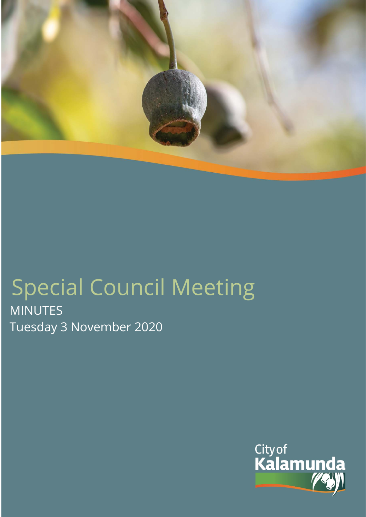

# Special Council Meeting MINUTES Tuesday 3 November 2020

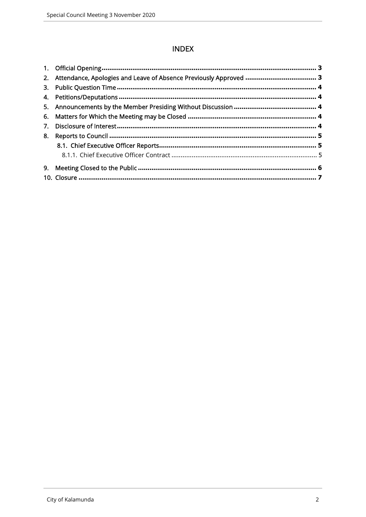# **INDEX**

| 2. Attendance, Apologies and Leave of Absence Previously Approved  3 |  |
|----------------------------------------------------------------------|--|
|                                                                      |  |
|                                                                      |  |
|                                                                      |  |
|                                                                      |  |
|                                                                      |  |
|                                                                      |  |
|                                                                      |  |
|                                                                      |  |
|                                                                      |  |
|                                                                      |  |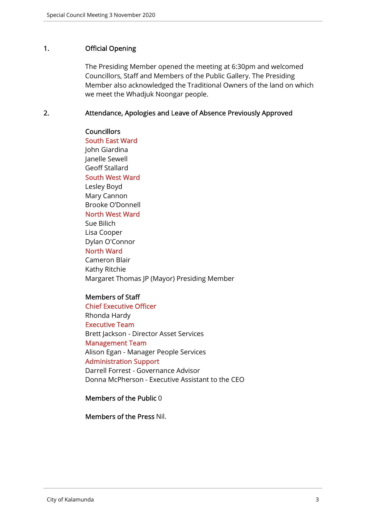# 1. Official Opening

The Presiding Member opened the meeting at 6:30pm and welcomed Councillors, Staff and Members of the Public Gallery. The Presiding Member also acknowledged the Traditional Owners of the land on which we meet the Whadjuk Noongar people.

## 2. Attendance, Apologies and Leave of Absence Previously Approved

**Councillors** South East Ward John Giardina Janelle Sewell Geoff Stallard South West Ward Lesley Boyd Mary Cannon Brooke O'Donnell North West Ward Sue Bilich Lisa Cooper Dylan O'Connor North Ward Cameron Blair Kathy Ritchie Margaret Thomas JP (Mayor) Presiding Member

## Members of Staff

Chief Executive Officer Rhonda Hardy Executive Team Brett Jackson - Director Asset Services Management Team Alison Egan - Manager People Services Administration Support Darrell Forrest - Governance Advisor Donna McPherson - Executive Assistant to the CEO

## Members of the Public 0

Members of the Press Nil.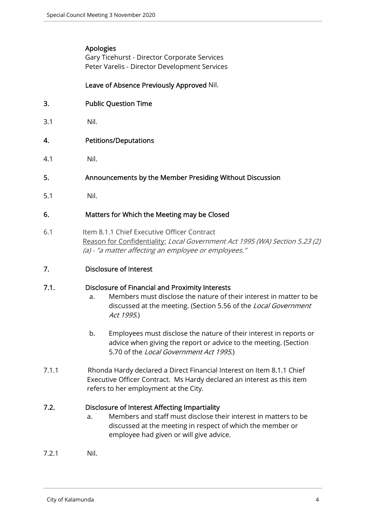# Apologies

Gary Ticehurst - Director Corporate Services Peter Varelis - Director Development Services

# Leave of Absence Previously Approved Nil.

- 3. Public Question Time
- 3.1 Nil.
- 4. Petitions/Deputations
- 4.1 Nil.
- 5. Announcements by the Member Presiding Without Discussion
- 5.1 Nil.

# 6. Matters for Which the Meeting may be Closed

- 6.1 Item 8.1.1 Chief Executive Officer Contract Reason for Confidentiality: Local Government Act 1995 (WA) Section 5.23 (2) (a) - "a matter affecting an employee or employees."
- 7. Disclosure of Interest

# 7.1. Disclosure of Financial and Proximity Interests

- a. Members must disclose the nature of their interest in matter to be discussed at the meeting. (Section 5.56 of the *Local Government* Act 1995.)
- b. Employees must disclose the nature of their interest in reports or advice when giving the report or advice to the meeting. (Section 5.70 of the Local Government Act 1995.)
- 7.1.1 Rhonda Hardy declared a Direct Financial Interest on Item 8.1.1 Chief Executive Officer Contract. Ms Hardy declared an interest as this item refers to her employment at the City.

# 7.2. Disclosure of Interest Affecting Impartiality

- a. Members and staff must disclose their interest in matters to be discussed at the meeting in respect of which the member or employee had given or will give advice.
- 7.2.1 Nil.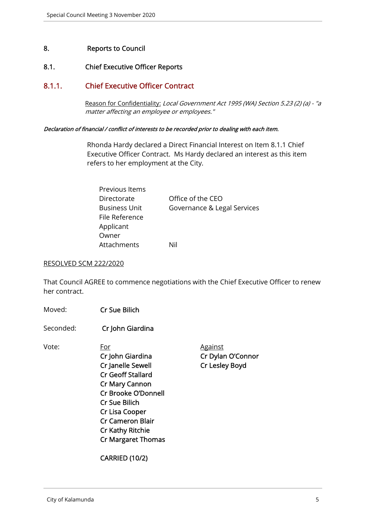# 8. Reports to Council

# 8.1. Chief Executive Officer Reports

# 8.1.1. Chief Executive Officer Contract

Reason for Confidentiality: Local Government Act 1995 (WA) Section 5.23 (2) (a) - "a matter affecting an employee or employees."

#### Declaration of financial / conflict of interests to be recorded prior to dealing with each item.

 Rhonda Hardy declared a Direct Financial Interest on Item 8.1.1 Chief Executive Officer Contract. Ms Hardy declared an interest as this item refers to her employment at the City.

| Previous Items |                             |
|----------------|-----------------------------|
| Directorate    | Office of the CEO           |
| Business Unit  | Governance & Legal Services |
| File Reference |                             |
| Applicant      |                             |
| Owner          |                             |
| Attachments    | Nil                         |

#### RESOLVED SCM 222/2020

That Council AGREE to commence negotiations with the Chief Executive Officer to renew her contract.

- Moved: Cr Sue Bilich
- Seconded: Cr John Giardina

Vote: For For Against Cr John Giardina Cr Dylan O'Connor Cr Janelle Sewell Cr Lesley Boyd Cr Geoff Stallard Cr Mary Cannon Cr Brooke O'Donnell Cr Sue Bilich Cr Lisa Cooper Cr Cameron Blair Cr Kathy Ritchie Cr Margaret Thomas

CARRIED (10/2)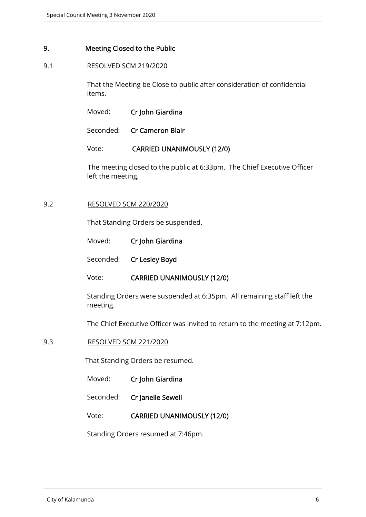## 9. Meeting Closed to the Public

## 9.1 RESOLVED SCM 219/2020

That the Meeting be Close to public after consideration of confidential items.

| Moved: | Cr John Giardina |
|--------|------------------|
|        |                  |

Seconded: Cr Cameron Blair

## Vote: CARRIED UNANIMOUSLY (12/0)

The meeting closed to the public at 6:33pm. The Chief Executive Officer left the meeting.

#### 9.2 RESOLVED SCM 220/2020

That Standing Orders be suspended.

| Moved: |  | Cr John Giardina |
|--------|--|------------------|
|--------|--|------------------|

Seconded: Cr Lesley Boyd

## Vote: CARRIED UNANIMOUSLY (12/0)

Standing Orders were suspended at 6:35pm. All remaining staff left the meeting.

The Chief Executive Officer was invited to return to the meeting at 7:12pm.

## 9.3 RESOLVED SCM 221/2020

That Standing Orders be resumed.

- Moved: Cr John Giardina
- Seconded: Cr Janelle Sewell
- Vote: CARRIED UNANIMOUSLY (12/0)

Standing Orders resumed at 7:46pm.